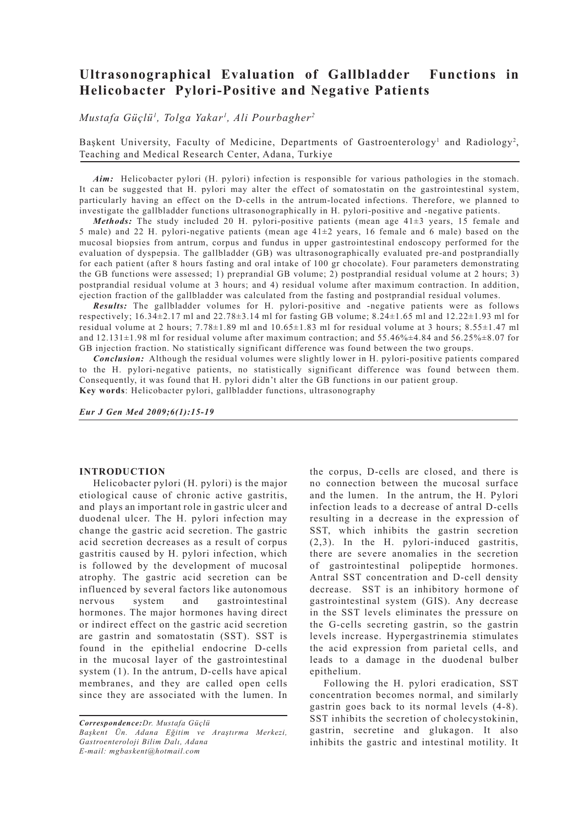# **Ultrasonographical Evaluation of Gallbladder Functions in Helicobacter Pylori-Positive and Negative Patients**

*Mustafa Güçlü1 , Tolga Yakar1 , Ali Pourbagher2*

Başkent University, Faculty of Medicine, Departments of Gastroenterology<sup>1</sup> and Radiology<sup>2</sup>, Teaching and Medical Research Center, Adana, Turkiye

*Aim:* Helicobacter pylori (H. pylori) infection is responsible for various pathologies in the stomach. It can be suggested that H. pylori may alter the effect of somatostatin on the gastrointestinal system, particularly having an effect on the D-cells in the antrum-located infections. Therefore, we planned to investigate the gallbladder functions ultrasonographically in H. pylori-positive and -negative patients.

*Methods:* The study included 20 H. pylori-positive patients (mean age  $41\pm3$  years, 15 female and 5 male) and 22 H. pylori-negative patients (mean age 41±2 years, 16 female and 6 male) based on the mucosal biopsies from antrum, corpus and fundus in upper gastrointestinal endoscopy performed for the evaluation of dyspepsia. The gallbladder (GB) was ultrasonographically evaluated pre-and postprandially for each patient (after 8 hours fasting and oral intake of 100 gr chocolate). Four parameters demonstrating the GB functions were assessed; 1) preprandial GB volume; 2) postprandial residual volume at 2 hours; 3) postprandial residual volume at 3 hours; and 4) residual volume after maximum contraction. In addition, ejection fraction of the gallbladder was calculated from the fasting and postprandial residual volumes.

*Results:* The gallbladder volumes for H. pylori-positive and -negative patients were as follows respectively;  $16.34\pm2.17$  ml and  $22.78\pm3.14$  ml for fasting GB volume;  $8.24\pm1.65$  ml and  $12.22\pm1.93$  ml for residual volume at 2 hours; 7.78±1.89 ml and 10.65±1.83 ml for residual volume at 3 hours; 8.55±1.47 ml and 12.131±1.98 ml for residual volume after maximum contraction; and 55.46%±4.84 and 56.25%±8.07 for GB injection fraction. No statistically significant difference was found between the two groups.

*Conclusion:* Although the residual volumes were slightly lower in H. pylori-positive patients compared to the H. pylori-negative patients, no statistically significant difference was found between them. Consequently, it was found that H. pylori didn't alter the GB functions in our patient group. **Key words**: Helicobacter pylori, gallbladder functions, ultrasonography

*Eur J Gen Med 2009;6(1):15-19*

## **INTRODUCTION**

Helicobacter pylori (H. pylori) is the major etiological cause of chronic active gastritis, and plays an important role in gastric ulcer and duodenal ulcer. The H. pylori infection may change the gastric acid secretion. The gastric acid secretion decreases as a result of corpus gastritis caused by H. pylori infection, which is followed by the development of mucosal atrophy. The gastric acid secretion can be influenced by several factors like autonomous nervous system and gastrointestinal hormones. The major hormones having direct or indirect effect on the gastric acid secretion are gastrin and somatostatin (SST). SST is found in the epithelial endocrine D-cells in the mucosal layer of the gastrointestinal system (1). In the antrum, D-cells have apical membranes, and they are called open cells since they are associated with the lumen. In

*Correspondence:Dr. Mustafa Güçlü Başkent Ün. Adana Eğitim ve Araştırma Merkezi, Gastroenteroloji Bilim Dalı, Adana E-mail: mgbaskent@hotmail.com*

the corpus, D-cells are closed, and there is no connection between the mucosal surface and the lumen. In the antrum, the H. Pylori infection leads to a decrease of antral D-cells resulting in a decrease in the expression of SST, which inhibits the gastrin secretion (2,3). In the H. pylori-induced gastritis, there are severe anomalies in the secretion of gastrointestinal polipeptide hormones. Antral SST concentration and D-cell density decrease. SST is an inhibitory hormone of gastrointestinal system (GIS). Any decrease in the SST levels eliminates the pressure on the G-cells secreting gastrin, so the gastrin levels increase. Hypergastrinemia stimulates the acid expression from parietal cells, and leads to a damage in the duodenal bulber epithelium.

Following the H. pylori eradication, SST concentration becomes normal, and similarly gastrin goes back to its normal levels (4-8). SST inhibits the secretion of cholecystokinin, gastrin, secretine and glukagon. It also inhibits the gastric and intestinal motility. It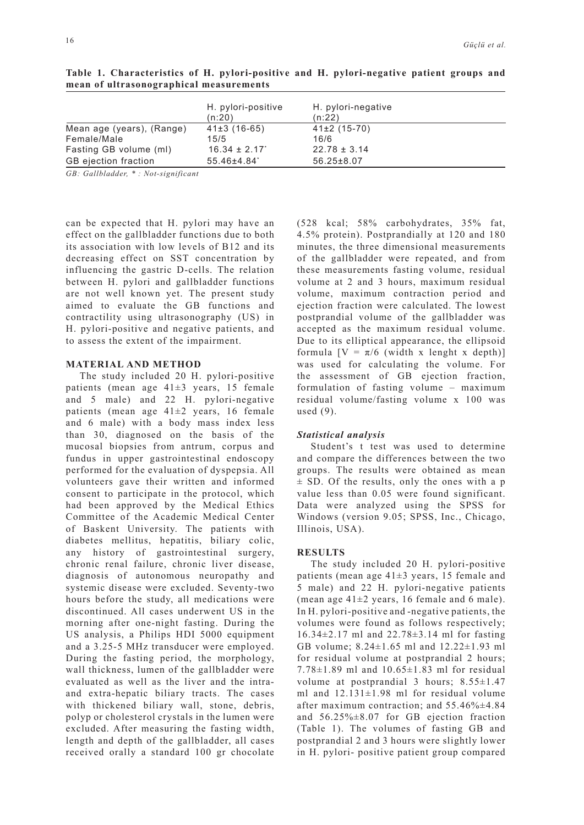|                             | H. pylori-positive<br>(n:20) | H. pylori-negative<br>(n:22) |
|-----------------------------|------------------------------|------------------------------|
| Mean age (years), (Range)   | $41\pm3(16-65)$              | $41\pm2(15-70)$              |
| Female/Male                 | 15/5                         | 16/6                         |
| Fasting GB volume (ml)      | $16.34 \pm 2.17$             | $22.78 \pm 3.14$             |
| <b>GB</b> ejection fraction | 55.46±4.84                   | $56.25 \pm 8.07$             |

**Table 1. Characteristics of H. pylori-positive and H. pylori-negative patient groups and mean of ultrasonographical measurements** 

*GB: Gallbladder, \* : Not-significant*

can be expected that H. pylori may have an effect on the gallbladder functions due to both its association with low levels of B12 and its decreasing effect on SST concentration by influencing the gastric D-cells. The relation between H. pylori and gallbladder functions are not well known yet. The present study aimed to evaluate the GB functions and contractility using ultrasonography (US) in H. pylori-positive and negative patients, and to assess the extent of the impairment.

## **MATERIAL AND METHOD**

The study included 20 H. pylori-positive patients (mean age 41±3 years, 15 female and 5 male) and 22 H. pylori-negative patients (mean age 41±2 years, 16 female and 6 male) with a body mass index less than 30, diagnosed on the basis of the mucosal biopsies from antrum, corpus and fundus in upper gastrointestinal endoscopy performed for the evaluation of dyspepsia. All volunteers gave their written and informed consent to participate in the protocol, which had been approved by the Medical Ethics Committee of the Academic Medical Center of Baskent University. The patients with diabetes mellitus, hepatitis, biliary colic, any history of gastrointestinal surgery, chronic renal failure, chronic liver disease, diagnosis of autonomous neuropathy and systemic disease were excluded. Seventy-two hours before the study, all medications were discontinued. All cases underwent US in the morning after one-night fasting. During the US analysis, a Philips HDI 5000 equipment and a 3.25-5 MHz transducer were employed. During the fasting period, the morphology, wall thickness, lumen of the gallbladder were evaluated as well as the liver and the intraand extra-hepatic biliary tracts. The cases with thickened biliary wall, stone, debris, polyp or cholesterol crystals in the lumen were excluded. After measuring the fasting width, length and depth of the gallbladder, all cases received orally a standard 100 gr chocolate

(528 kcal; 58% carbohydrates, 35% fat, 4.5% protein). Postprandially at 120 and 180 minutes, the three dimensional measurements of the gallbladder were repeated, and from these measurements fasting volume, residual volume at 2 and 3 hours, maximum residual volume, maximum contraction period and ejection fraction were calculated. The lowest postprandial volume of the gallbladder was accepted as the maximum residual volume. Due to its elliptical appearance, the ellipsoid formula  $[V = \pi/6$  (width x lenght x depth)] was used for calculating the volume. For the assessment of GB ejection fraction, formulation of fasting volume – maximum residual volume/fasting volume x 100 was used (9).

#### *Statistical analysis*

Student's t test was used to determine and compare the differences between the two groups. The results were obtained as mean  $\pm$  SD. Of the results, only the ones with a p value less than 0.05 were found significant. Data were analyzed using the SPSS for Windows (version 9.05; SPSS, Inc., Chicago, Illinois, USA).

#### **RESULTS**

The study included 20 H. pylori-positive patients (mean age  $41\pm3$  years, 15 female and 5 male) and 22 H. pylori-negative patients (mean age  $41\pm2$  years, 16 female and 6 male). In H. pylori-positive and -negative patients, the volumes were found as follows respectively; 16.34±2.17 ml and 22.78±3.14 ml for fasting GB volume; 8.24±1.65 ml and 12.22±1.93 ml for residual volume at postprandial 2 hours; 7.78±1.89 ml and 10.65±1.83 ml for residual volume at postprandial 3 hours:  $8.55 \pm 1.47$ ml and  $12.131 \pm 1.98$  ml for residual volume after maximum contraction; and 55.46%±4.84 and 56.25%±8.07 for GB ejection fraction (Table 1). The volumes of fasting GB and postprandial 2 and 3 hours were slightly lower in H. pylori- positive patient group compared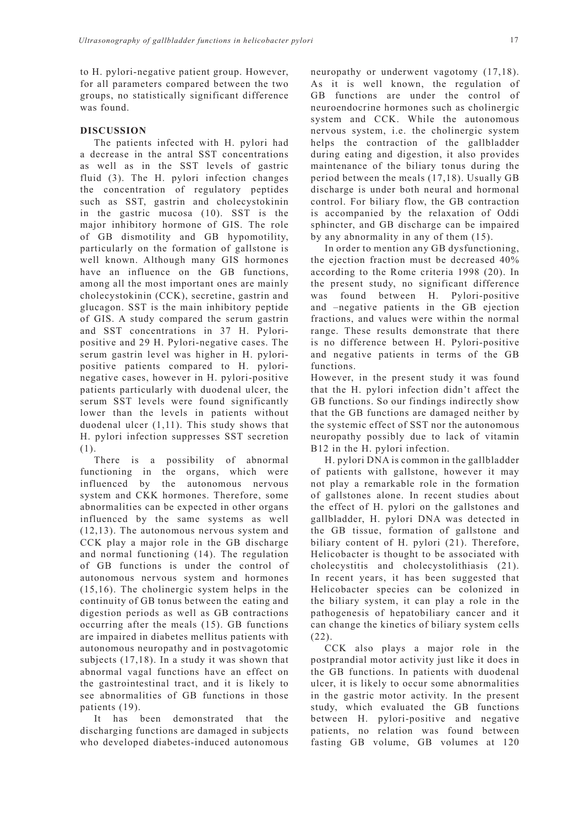to H. pylori-negative patient group. However, for all parameters compared between the two groups, no statistically significant difference was found.

## **DISCUSSION**

The patients infected with H. pylori had a decrease in the antral SST concentrations as well as in the SST levels of gastric fluid (3). The H. pylori infection changes the concentration of regulatory peptides such as SST, gastrin and cholecystokinin in the gastric mucosa (10). SST is the major inhibitory hormone of GIS. The role of GB dismotility and GB hypomotility, particularly on the formation of gallstone is well known. Although many GIS hormones have an influence on the GB functions, among all the most important ones are mainly cholecystokinin (CCK), secretine, gastrin and glucagon. SST is the main inhibitory peptide of GIS. A study compared the serum gastrin and SST concentrations in 37 H. Pyloripositive and 29 H. Pylori-negative cases. The serum gastrin level was higher in H. pyloripositive patients compared to H. pylorinegative cases, however in H. pylori-positive patients particularly with duodenal ulcer, the serum SST levels were found significantly lower than the levels in patients without duodenal ulcer (1,11). This study shows that H. pylori infection suppresses SST secretion (1).

There is a possibility of abnormal functioning in the organs, which were influenced by the autonomous nervous system and CKK hormones. Therefore, some abnormalities can be expected in other organs influenced by the same systems as well (12,13). The autonomous nervous system and CCK play a major role in the GB discharge and normal functioning (14). The regulation of GB functions is under the control of autonomous nervous system and hormones (15,16). The cholinergic system helps in the continuity of GB tonus between the eating and digestion periods as well as GB contractions occurring after the meals (15). GB functions are impaired in diabetes mellitus patients with autonomous neuropathy and in postvagotomic subjects (17,18). In a study it was shown that abnormal vagal functions have an effect on the gastrointestinal tract, and it is likely to see abnormalities of GB functions in those patients (19).

It has been demonstrated that the discharging functions are damaged in subjects who developed diabetes-induced autonomous

neuropathy or underwent vagotomy (17,18). As it is well known, the regulation of GB functions are under the control of neuroendocrine hormones such as cholinergic system and CCK. While the autonomous nervous system, i.e. the cholinergic system helps the contraction of the gallbladder during eating and digestion, it also provides maintenance of the biliary tonus during the period between the meals (17,18). Usually GB discharge is under both neural and hormonal control. For biliary flow, the GB contraction is accompanied by the relaxation of Oddi sphincter, and GB discharge can be impaired by any abnormality in any of them (15).

In order to mention any GB dysfunctioning, the ejection fraction must be decreased 40% according to the Rome criteria 1998 (20). In the present study, no significant difference was found between H. Pylori-positive and –negative patients in the GB ejection fractions, and values were within the normal range. These results demonstrate that there is no difference between H. Pylori-positive and negative patients in terms of the GB functions.

However, in the present study it was found that the H. pylori infection didn't affect the GB functions. So our findings indirectly show that the GB functions are damaged neither by the systemic effect of SST nor the autonomous neuropathy possibly due to lack of vitamin B12 in the H. pylori infection.

H. pylori DNA is common in the gallbladder of patients with gallstone, however it may not play a remarkable role in the formation of gallstones alone. In recent studies about the effect of H. pylori on the gallstones and gallbladder, H. pylori DNA was detected in the GB tissue, formation of gallstone and biliary content of H. pylori (21). Therefore, Helicobacter is thought to be associated with cholecystitis and cholecystolithiasis (21). In recent years, it has been suggested that Helicobacter species can be colonized in the biliary system, it can play a role in the pathogenesis of hepatobiliary cancer and it can change the kinetics of biliary system cells (22).

CCK also plays a major role in the postprandial motor activity just like it does in the GB functions. In patients with duodenal ulcer, it is likely to occur some abnormalities in the gastric motor activity. In the present study, which evaluated the GB functions between H. pylori-positive and negative patients, no relation was found between fasting GB volume, GB volumes at 120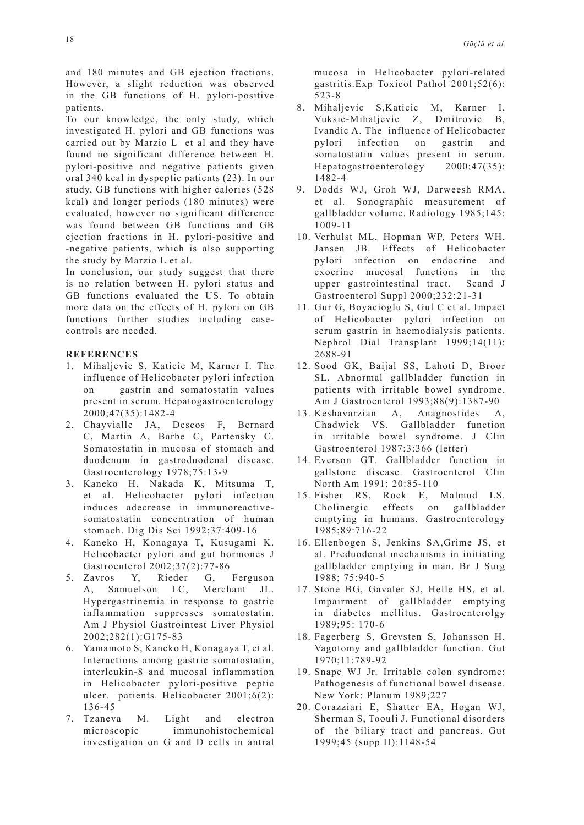and 180 minutes and GB ejection fractions. However, a slight reduction was observed in the GB functions of H. pylori-positive patients.

To our knowledge, the only study, which investigated H. pylori and GB functions was carried out by Marzio L et al and they have found no significant difference between H. pylori-positive and negative patients given oral 340 kcal in dyspeptic patients (23). In our study, GB functions with higher calories (528 kcal) and longer periods (180 minutes) were evaluated, however no significant difference was found between GB functions and GB ejection fractions in H. pylori-positive and -negative patients, which is also supporting the study by Marzio L et al.

In conclusion, our study suggest that there is no relation between H. pylori status and GB functions evaluated the US. To obtain more data on the effects of H. pylori on GB functions further studies including casecontrols are needed.

### **REFERENCES**

- 1. Mihaljevic S, Katicic M, Karner I. The influence of Helicobacter pylori infection on gastrin and somatostatin values present in serum. Hepatogastroenterology 2000;47(35):1482-4
- 2. Chayvialle JA, Descos F, Bernard C, Martin A, Barbe C, Partensky C. Somatostatin in mucosa of stomach and duodenum in gastroduodenal disease. Gastroenterology 1978;75:13-9
- 3. Kaneko H, Nakada K, Mitsuma T, et al. Helicobacter pylori infection induces adecrease in immunoreactivesomatostatin concentration of human stomach. Dig Dis Sci 1992;37:409-16
- 4. Kaneko H, Konagaya T, Kusugami K. Helicobacter pylori and gut hormones J Gastroenterol 2002;37(2):77-86
- 5. Zavros Y, Rieder G, Ferguson A, Samuelson LC, Merchant JL. Hypergastrinemia in response to gastric inflammation suppresses somatostatin. Am J Physiol Gastrointest Liver Physiol 2002;282(1):G175-83
- 6. Yamamoto S, Kaneko H, Konagaya T, et al. Interactions among gastric somatostatin, interleukin-8 and mucosal inflammation in Helicobacter pylori-positive peptic ulcer. patients. Helicobacter 2001;6(2): 136-45
- 7. Tzaneva M. Light and electron microscopic immunohistochemical investigation on G and D cells in antral

mucosa in Helicobacter pylori-related gastritis.Exp Toxicol Pathol 2001;52(6): 523-8

- 8. Mihaljevic S,Katicic M, Karner I, Vuksic-Mihaljevic Z, Dmitrovic B, Ivandic A. The influence of Helicobacter pylori infection on gastrin and somatostatin values present in serum. Hepatogastroenterology 2000;47(35): 1482-4
- 9. Dodds WJ, Groh WJ, Darweesh RMA, et al. Sonographic measurement of gallbladder volume. Radiology 1985;145: 1009-11
- 10. Verhulst ML, Hopman WP, Peters WH, Jansen JB. Effects of Helicobacter pylori infection on endocrine and exocrine mucosal functions in the upper gastrointestinal tract. Scand J Gastroenterol Suppl 2000;232:21-31
- 11. Gur G, Boyacioglu S, Gul C et al. Impact of Helicobacter pylori infection on serum gastrin in haemodialysis patients. Nephrol Dial Transplant 1999;14(11): 2688-91
- 12. Sood GK, Baijal SS, Lahoti D, Broor SL. Abnormal gallbladder function in patients with irritable bowel syndrome. Am J Gastroenterol 1993;88(9):1387-90
- 13. Keshavarzian A, Anagnostides A, Chadwick VS. Gallbladder function in irritable bowel syndrome. J Clin Gastroenterol 1987;3:366 (letter)
- 14. Everson GT. Gallbladder function in gallstone disease. Gastroenterol Clin North Am 1991; 20:85-110
- 15. Fisher RS, Rock E, Malmud LS. Cholinergic effects on gallbladder emptying in humans. Gastroenterology 1985;89:716-22
- 16. Ellenbogen S, Jenkins SA,Grime JS, et al. Preduodenal mechanisms in initiating gallbladder emptying in man. Br J Surg 1988; 75:940-5
- 17. Stone BG, Gavaler SJ, Helle HS, et al. Impairment of gallbladder emptying in diabetes mellitus. Gastroenterolgy 1989;95: 170-6
- 18. Fagerberg S, Grevsten S, Johansson H. Vagotomy and gallbladder function. Gut 1970;11:789-92
- 19. Snape WJ Jr. Irritable colon syndrome: Pathogenesis of functional bowel disease. New York: Planum 1989;227
- 20. Corazziari E, Shatter EA, Hogan WJ, Sherman S, Toouli J. Functional disorders of the biliary tract and pancreas. Gut 1999;45 (supp II):1148-54